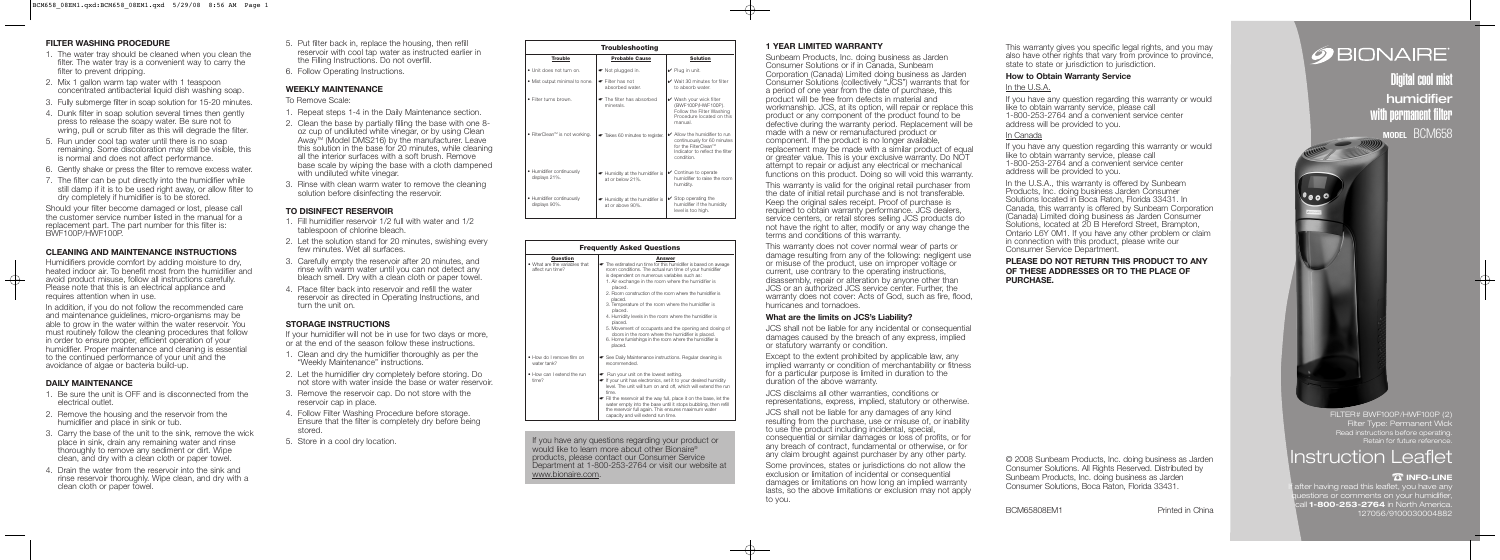### **FILTER WASHING PROCEDURE**

- 1. The water tray should be cleaned when you clean the filter. The water tray is a convenient way to carry the filter to prevent dripping.
- 2. Mix 1 gallon warm tap water with 1 teaspoon concentrated antibacterial liquid dish washing soap.
- 3. Fully submerge filter in soap solution for 15-20 minutes.
- 4. Dunk filter in soap solution several times then gently press to release the soapy water. Be sure not to wring, pull or scrub filter as this will degrade the filter.
- 5. Run under cool tap water until there is no soap remaining. Some discoloration may still be visible, this is normal and does not affect performance.
- 6. Gently shake or press the filter to remove excess water.
- 7. The filter can be put directly into the humidifier while still damp if it is to be used right away, or allow filter to dry completely if humidifier is to be stored.

Should your filter become damaged or lost, please call the customer service number listed in the manual for a replacement part. The part number for this filter is: BWF100P/HWF100P.

# **CLEANING AND MAINTENANCE INSTRUCTIONS**

Humidifiers provide comfort by adding moisture to dry, heated indoor air. To benefit most from the humidifier and avoid product misuse, follow all instructions carefully. Please note that this is an electrical appliance and requires attention when in use.

In addition, if you do not follow the recommended care and maintenance guidelines, micro-organisms may be able to grow in the water within the water reservoir. You must routinely follow the cleaning procedures that follow in order to ensure proper, efficient operation of your humidifier. Proper maintenance and cleaning is essential to the continued performance of your unit and the avoidance of algae or bacteria build-up.

### **DAILY MAINTENANCE**

- 1. Be sure the unit is OFF and is disconnected from the electrical outlet.
- 2. Remove the housing and the reservoir from the humidifier and place in sink or tub.
- 3. Carry the base of the unit to the sink, remove the wick place in sink, drain any remaining water and rinse thoroughly to remove any sediment or dirt. Wipe clean, and dry with a clean cloth or paper towel.
- 4. Drain the water from the reservoir into the sink and rinse reservoir thoroughly. Wipe clean, and dry with a clean cloth or paper towel.
- 5. Put filter back in, replace the housing, then refill reservoir with cool tap water as instructed earlier in the Filling Instructions. Do not overfill.
- 6. Follow Operating Instructions.

### **WEEKLY MAINTENANCE**

To Remove Scale:

- 1. Repeat steps 1-4 in the Daily Maintenance section.
- 2. Clean the base by partially filling the base with one 8 oz cup of undiluted white vinegar, or by using Clean Away<sup>t M</sup> (Model DMS216) by the manufacturer. Leave this solution in the base for 20 minutes, while cleaning all the interior surfaces with a soft brush. Remove base scale by wiping the base with a cloth dampened with undiluted white vinegar.
- 3. Rinse with clean warm water to remove the cleaning solution before disinfecting the reservoir.

### **TO DISINFECT RESERVOIR**

- 1. Fill humidifier reservoir 1/2 full with water and 1/2 tablespoon of chlorine bleach.
- 2. Let the solution stand for 20 minutes, swishing every few minutes. Wet all surfaces.
- 3. Carefully empty the reservoir after 20 minutes, and rinse with warm water until you can not detect any bleach smell. Dry with a clean cloth or paper towel.
- 4. Place filter back into reservoir and refill the water reservoir as directed in Operating Instructions, and turn the unit on.

# **STORAGE INSTRUCTIONS**

If your humidifier will not be in use for two days or more, or at the end of the season follow these instructions.

- 1. Clean and dry the humidifier thoroughly as per the "Weekly Maintenance" instructions.
- 2. Let the humidifier dry completely before storing. Do not store with water inside the base or water reservoir.
- 3. Remove the reservoir cap. Do not store with the reservoir cap in place.
- 4. Follow Filter Washing Procedure before storage. Ensure that the filter is completely dry before being stored.
- 5. Store in a cool dry location.

In the U.S.A., this warranty is offered by Sunbeam Products, Inc. doing business Jarden Consumer Solutions located in Boca Raton, Florida 33431. In Canada, this warranty is offered by Sunbeam Corporation (Canada) Limited doing business as Jarden Consumer Solutions, located at 20 B Hereford Street, Brampton, Ontario L6Y 0M1. If you have any other problem or claim in connection with this product, please write our Consumer Service Department.

### Read instructions before operating. Retain for future reference. FILTER# BWF100P/HWF100P (2) **Filter Type: Permanent Wick**

### **1 YEAR LIMITED WARRANTY**

 $\longrightarrow$ 

 $\longrightarrow$ 

ter having read this leaflet, you have any estions or comments on your humidifier, **1-800-253-2764** in North America. 127056/9100030004882

Sunbeam Products, Inc. doing business as Jarden Consumer Solutions or if in Canada, Sunbeam Corporation (Canada) Limited doing business as Jarden Consumer Solutions (collectively "JCS") warrants that for a period of one year from the date of purchase, this product will be free from defects in material and workmanship. JCS, at its option, will repair or replace this product or any component of the product found to be defective during the warranty period. Replacement will be made with a new or remanufactured product or component. If the product is no longer available, replacement may be made with a similar product of equal or greater value. This is your exclusive warranty. Do NOT attempt to repair or adjust any electrical or mechanical functions on this product. Doing so will void this warranty.

This warranty is valid for the original retail purchaser from the date of initial retail purchase and is not transferable. Keep the original sales receipt. Proof of purchase is required to obtain warranty performance. JCS dealers, service centers, or retail stores selling JCS products do not have the right to alter, modify or any way change the terms and conditions of this warranty.

This warranty does not cover normal wear of parts or damage resulting from any of the following: negligent use or misuse of the product, use on improper voltage or current, use contrary to the operating instructions, disassembly, repair or alteration by anyone other than JCS or an authorized JCS service center. Further, the warranty does not cover: Acts of God, such as fire, flood, hurricanes and tornadoes.

### **What are the limits on JCS's Liability?**

JCS shall not be liable for any incidental or consequential damages caused by the breach of any express, implied or statutory warranty or condition.

Except to the extent prohibited by applicable law, any implied warranty or condition of merchantability or fitness for a particular purpose is limited in duration to the duration of the above warranty.

JCS disclaims all other warranties, conditions or representations, express, implied, statutory or otherwise.

JCS shall not be liable for any damages of any kind resulting from the purchase, use or misuse of, or inability to use the product including incidental, special, consequential or similar damages or loss of profits, or for any breach of contract, fundamental or otherwise, or for any claim brought against purchaser by any other party.

Some provinces, states or jurisdictions do not allow the exclusion or limitation of incidental or consequential damages or limitations on how long an implied warranty lasts, so the above limitations or exclusion may not apply to you.

This warranty gives you specific legal rights, and you may also have other rights that vary from province to province, state to state or jurisdiction to jurisdiction.

#### **How to Obtain Warranty Service**

#### In the U.S.A.

If you have any question regarding this warranty or would like to obtain warranty service, please call 1-800-253-2764 and a convenient service center address will be provided to you.

#### In Canada

If you have any question regarding this warranty or would like to obtain warranty service, please call 1-800-253-2764 and a convenient service center address will be provided to you.

### **PLEASE DO NOT RETURN THIS PRODUCT TO ANY OF THESE ADDRESSES OR TO THE PLACE OF PURCHASE.**

© 2008 Sunbeam Products, Inc. doing business as Jarden Consumer Solutions. All Rights Reserved. Distributed by Sunbeam Products, Inc. doing business as Jarden Consumer Solutions, Boca Raton, Florida 33431.

BCM65808EM1 Printed in China

# **SEIONAIRE**

# Instruction Leaflet

# **INFO-LINE**  ☎

Digital cool mist humidifier with permanent filter

**MODEL** BCM658

 $\bigoplus$ 



| <b>Troubleshooting</b>                     |                                                   |                                                                                                                                                |
|--------------------------------------------|---------------------------------------------------|------------------------------------------------------------------------------------------------------------------------------------------------|
| <b>Trouble</b>                             | <b>Probable Cause</b>                             | <b>Solution</b>                                                                                                                                |
| • Unit does not turn on.                   | ► Not plugged in.                                 | $\vee$ Plug in unit.                                                                                                                           |
| • Mist output minimal to none.             | $\bullet$ Filter has not<br>absorbed water.       | $\mathcal V$ Wait 30 minutes for filter<br>to absorb water.                                                                                    |
| · Filter turns brown.                      | The filter has absorbed<br>minerals.              | $\vee$ Wash your wick filter<br>(BWF100P/HWF100P).<br>Follow the Filter Washing<br>Procedure located on this<br>manual.                        |
| ● FilterClean™ is not working.             | Takes 60 minutes to register.                     | $\swarrow$ Allow the humidifier to run<br>continuously for 60 minutes<br>for the FilterClean™<br>Indicator to reflect the filter<br>condition. |
| • Humidifier continuously<br>displays 21%. | Humidity at the humidifier is<br>at or below 21%. | $\checkmark$ Continue to operate<br>humidifier to raise the room<br>humidity.                                                                  |
| • Humidifier continuously<br>displays 90%. | Humidity at the humidifier is<br>at or above 90%. | $\checkmark$ Stop operating the<br>humidifier if the humidity<br>level is too high.                                                            |

| <b>Frequently Asked Questions</b>                             |                                                                                                                                                                                                                                                                                                                                                                                                                                                                                                                                                                                                                                                          |  |
|---------------------------------------------------------------|----------------------------------------------------------------------------------------------------------------------------------------------------------------------------------------------------------------------------------------------------------------------------------------------------------------------------------------------------------------------------------------------------------------------------------------------------------------------------------------------------------------------------------------------------------------------------------------------------------------------------------------------------------|--|
| Question<br>• What are the variables that<br>affect run time? | Answer<br>• The estimated run time for this humidifier is based on aveage<br>room conditions. The actual run time of your humidifier<br>is dependent on numerous variables such as:<br>1. Air exchange in the room where the humidifier is<br>placed.<br>2. Room construction of the room where the humidifier is<br>placed.<br>3. Temperature of the room where the humidifier is<br>placed.<br>4. Humidity levels in the room where the humidifier is<br>placed.<br>5. Movement of occupants and the opening and closing of<br>doors in the room where the humidifier is placed.<br>6. Home furnishings in the room where the humidifier is<br>placed. |  |
| • How do I remove film on<br>water tank?                      | See Daily Maintenance instructions. Regular cleaning is<br>recommended.                                                                                                                                                                                                                                                                                                                                                                                                                                                                                                                                                                                  |  |
| • How can I extend the run<br>time?                           | Run your unit on the lowest setting.<br>• If your unit has electronics, set it to your desired humidity<br>level. The unit will turn on and off, which will extend the run<br>time.<br>Fill the reservoir all the way full, place it on the base, let the<br>water empty into the base until it stops bubbling, then refill<br>the reservoir full again. This ensures maximum water<br>capacity and will extend run time.                                                                                                                                                                                                                                |  |

If you have any questions regarding your product or would like to learn more about other Bionaire® products, please contact our Consumer Service Department at 1-800-253-2764 or visit our website at www.bionaire.com.